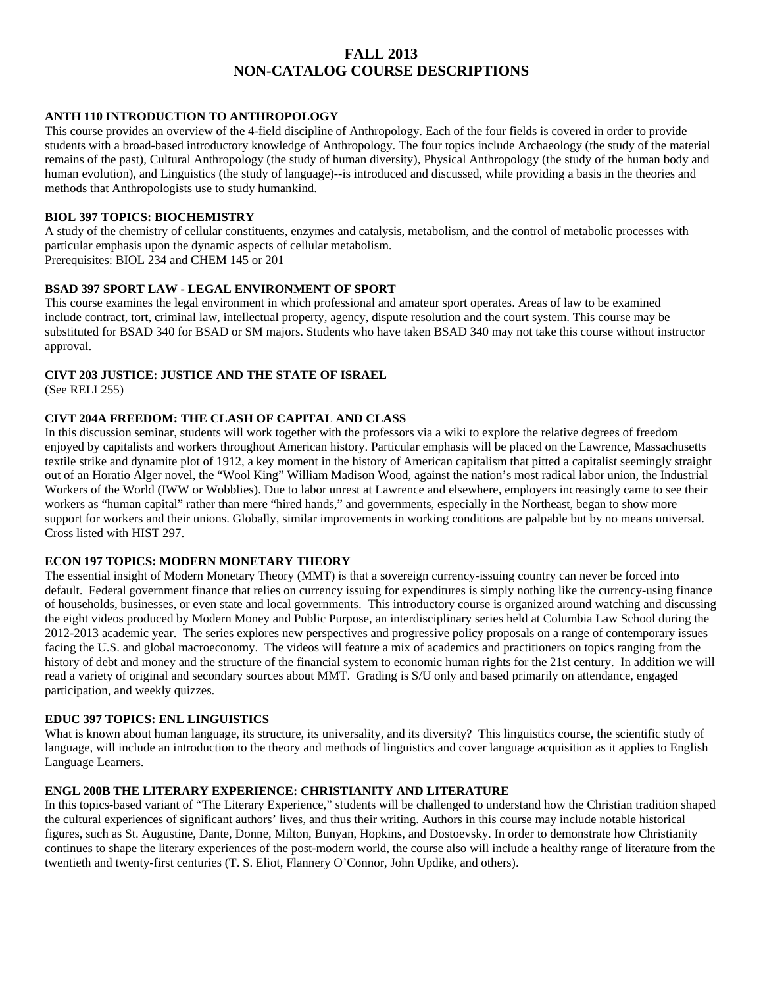# **FALL 2013 NON-CATALOG COURSE DESCRIPTIONS**

# **ANTH 110 INTRODUCTION TO ANTHROPOLOGY**

This course provides an overview of the 4-field discipline of Anthropology. Each of the four fields is covered in order to provide students with a broad-based introductory knowledge of Anthropology. The four topics include Archaeology (the study of the material remains of the past), Cultural Anthropology (the study of human diversity), Physical Anthropology (the study of the human body and human evolution), and Linguistics (the study of language)--is introduced and discussed, while providing a basis in the theories and methods that Anthropologists use to study humankind.

#### **BIOL 397 TOPICS: BIOCHEMISTRY**

A study of the chemistry of cellular constituents, enzymes and catalysis, metabolism, and the control of metabolic processes with particular emphasis upon the dynamic aspects of cellular metabolism.

Prerequisites: BIOL 234 and CHEM 145 or 201

#### **BSAD 397 SPORT LAW - LEGAL ENVIRONMENT OF SPORT**

This course examines the legal environment in which professional and amateur sport operates. Areas of law to be examined include contract, tort, criminal law, intellectual property, agency, dispute resolution and the court system. This course may be substituted for BSAD 340 for BSAD or SM majors. Students who have taken BSAD 340 may not take this course without instructor approval.

#### **CIVT 203 JUSTICE: JUSTICE AND THE STATE OF ISRAEL**

(See RELI 255)

## **CIVT 204A FREEDOM: THE CLASH OF CAPITAL AND CLASS**

In this discussion seminar, students will work together with the professors via a wiki to explore the relative degrees of freedom enjoyed by capitalists and workers throughout American history. Particular emphasis will be placed on the Lawrence, Massachusetts textile strike and dynamite plot of 1912, a key moment in the history of American capitalism that pitted a capitalist seemingly straight out of an Horatio Alger novel, the "Wool King" William Madison Wood, against the nation's most radical labor union, the Industrial Workers of the World (IWW or Wobblies). Due to labor unrest at Lawrence and elsewhere, employers increasingly came to see their workers as "human capital" rather than mere "hired hands," and governments, especially in the Northeast, began to show more support for workers and their unions. Globally, similar improvements in working conditions are palpable but by no means universal. Cross listed with HIST 297.

# **ECON 197 TOPICS: MODERN MONETARY THEORY**

The essential insight of Modern Monetary Theory (MMT) is that a sovereign currency-issuing country can never be forced into default. Federal government finance that relies on currency issuing for expenditures is simply nothing like the currency-using finance of households, businesses, or even state and local governments. This introductory course is organized around watching and discussing the eight videos produced by Modern Money and Public Purpose, an interdisciplinary series held at Columbia Law School during the 2012-2013 academic year. The series explores new perspectives and progressive policy proposals on a range of contemporary issues facing the U.S. and global macroeconomy. The videos will feature a mix of academics and practitioners on topics ranging from the history of debt and money and the structure of the financial system to economic human rights for the 21st century. In addition we will read a variety of original and secondary sources about MMT. Grading is S/U only and based primarily on attendance, engaged participation, and weekly quizzes.

## **EDUC 397 TOPICS: ENL LINGUISTICS**

What is known about human language, its structure, its universality, and its diversity? This linguistics course, the scientific study of language, will include an introduction to the theory and methods of linguistics and cover language acquisition as it applies to English Language Learners.

#### **ENGL 200B THE LITERARY EXPERIENCE: CHRISTIANITY AND LITERATURE**

In this topics-based variant of "The Literary Experience," students will be challenged to understand how the Christian tradition shaped the cultural experiences of significant authors' lives, and thus their writing. Authors in this course may include notable historical figures, such as St. Augustine, Dante, Donne, Milton, Bunyan, Hopkins, and Dostoevsky. In order to demonstrate how Christianity continues to shape the literary experiences of the post-modern world, the course also will include a healthy range of literature from the twentieth and twenty-first centuries (T. S. Eliot, Flannery O'Connor, John Updike, and others).